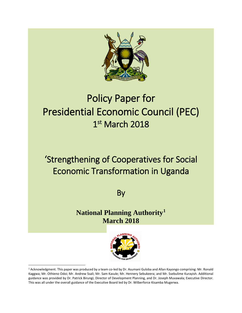

# Policy Paper for Presidential Economic Council (PEC) 1st March 2018

## 'Strengthening of Cooperatives for Social Economic Transformation in Uganda

By

**National Planning Authority[1](#page-0-0) March 2018**

<span id="page-0-0"></span>

 <sup>1</sup> Acknowledgment. This paper was produced by a team co-led by Dr. Asumani Guloba and Allan Kayongo comprising: Mr. Ronald Kaggwa; Mr. Othieno Odoi; Mr. Andrew Ssali; Mr. Sam Kasule; Mr. Hennery Sebukeera; and Mr. Ssebulime Kurayish. Additional guidance was provided by Dr. Patrick Birungi; Director of Development Planning, and Dr. Joseph Muvawala; Executive Director. This was all under the overall guidance of the Executive Board led by Dr. Wilberforce Kisamba Mugerwa.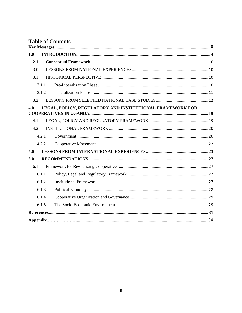|     |       | <b>Table of Contents</b>                                  |  |
|-----|-------|-----------------------------------------------------------|--|
|     |       |                                                           |  |
| 1.0 |       |                                                           |  |
| 2.1 |       |                                                           |  |
| 3.0 |       |                                                           |  |
| 3.1 |       |                                                           |  |
|     | 3.1.1 |                                                           |  |
|     | 3.1.2 |                                                           |  |
| 3.2 |       |                                                           |  |
| 4.0 |       | LEGAL, POLICY, REGULATORY AND INSTITUTIONAL FRAMEWORK FOR |  |
|     |       |                                                           |  |
| 4.1 |       |                                                           |  |
| 4.2 |       |                                                           |  |
|     | 4.2.1 |                                                           |  |
|     | 4.2.2 |                                                           |  |
| 5.0 |       |                                                           |  |
| 6.0 |       |                                                           |  |
| 6.1 |       |                                                           |  |
|     | 6.1.1 |                                                           |  |
|     | 6.1.2 |                                                           |  |
|     | 6.1.3 |                                                           |  |
|     | 6.1.4 |                                                           |  |
|     | 6.1.5 |                                                           |  |
|     |       |                                                           |  |
|     |       |                                                           |  |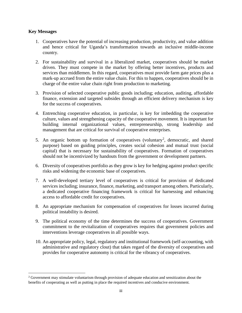#### <span id="page-2-0"></span>**Key Messages**

- 1. Cooperatives have the potential of increasing production, productivity, and value addition and hence critical for Uganda's transformation towards an inclusive middle-income country.
- 2. For sustainability and survival in a liberalized market, cooperatives should be market driven. They must compete in the market by offering better incentives, products and services than middlemen. In this regard, cooperatives must provide farm gate prices plus a mark-up accrued from the entire value chain. For this to happen, cooperatives should be in charge of the entire value chain right from production to marketing.
- 3. Provision of selected cooperative public goods including; education, auditing, affordable finance, extension and targeted subsides through an efficient delivery mechanism is key for the success of cooperatives.
- 4. Entrenching cooperative education, in particular, is key for imbedding the cooperative culture, values and strengthening capacity of the cooperative movement. It is important for building internal organizational values, entrepreneurship, strong leadership and management that are critical for survival of cooperative enterprises.
- 5. An organic bottom up formation of cooperatives (voluntary<sup>[2](#page-2-1)</sup>, democratic, and shared purpose) based on guiding principles, creates social cohesion and mutual trust (social capital) that is necessary for sustainability of cooperatives. Formation of cooperatives should not be incentivized by handouts from the government or development partners.
- 6. Diversity of cooperatives portfolio as they grow is key for hedging against product specific risks and widening the economic base of cooperatives.
- 7. A well-developed tertiary level of cooperatives is critical for provision of dedicated services including; insurance, finance, marketing, and transport among others. Particularly, a dedicated cooperative financing framework is critical for harnessing and enhancing access to affordable credit for cooperatives.
- 8. An appropriate mechanism for compensation of cooperatives for losses incurred during political instability is desired.
- 9. The political economy of the time determines the success of cooperatives. Government commitment to the revitalization of cooperatives requires that government policies and interventions leverage cooperatives in all possible ways.
- 10. An appropriate policy, legal, regulatory and institutional framework (self-accounting, with administrative and regulatory clout) that takes regard of the diversity of cooperatives and provides for cooperative autonomy is critical for the vibrancy of cooperatives.

<span id="page-2-1"></span><sup>&</sup>lt;sup>2</sup> Government may stimulate voluntarism through provision of adequate education and sensitization about the benefits of cooperating as well as putting in place the required incentives and conducive environment.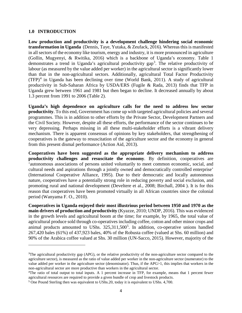#### <span id="page-3-0"></span>**1.0 INTRODUCTION**

 $\overline{\phantom{a}}$ 

**Low production and productivity is a development challenge hindering social economic transformation in Uganda** (Dennis, Taye, Yutaka, & Zeufack, 2016). Whereas this is manifested in all sectors of the economy like tourism, energy and industry, it is more pronounced in agriculture (Gollin, Mugyenyi, & Rwitika, 2016) which is a backbone of Uganda's economy. Table 1 demonstrates a trend in Uganda's agricultural productivity gap<sup>[3](#page-3-1)</sup>. The relative productivity of labour (as measured by the value added per worker) in the agricultural sector is significantly lower than that in the non-agricultural sectors. Additionally, agricultural Total Factor Productivity  $(TFP)<sup>4</sup>$  $(TFP)<sup>4</sup>$  $(TFP)<sup>4</sup>$  in Uganda has been declining over time (World Bank, 2011). A study of agricultural productivity in Sub-Saharan Africa by USDA/ERS (Fugile & Rada, 2013) finds that TFP in Uganda grew between 1961 and 1981 but then began to decline. It decreased annually by about 1.3 percent from 1991 to 2006 (Table 2).

**Uganda's high dependence on agriculture calls for the need to address low sector productivity**. To this end, Government has come up with targeted agricultural policies and several programmes. This is in addition to other efforts by the Private Sector, Development Partners and the Civil Society. However, despite all these efforts, the performance of the sector continues to be very depressing. Perhaps missing in all these multi-stakeholder efforts is a vibrant delivery mechanism. There is apparent consensus of opinions by key stakeholders, that strengthening of cooperatives is the gateway to resuscitation of the agriculture sector and the economy in general from this present dismal performance (Action Aid, 2013).

**Cooperatives have been suggested as the appropriate delivery mechanism to address productivity challenges and resuscitate the economy**. By definition, cooperatives are 'autonomous associations of persons united voluntarily to meet common economic, social, and cultural needs and aspirations through a jointly owned and democratically controlled enterprise' (International Cooperative Alliance, 1995). Due to their democratic and locally autonomous nature, cooperatives have a potentially strong role in reducing poverty and social exclusion, and promoting rural and national development (Develtere et al., 2008; Birchall, 2004 ). It is for this reason that cooperatives have been promoted virtually in all African countries since the colonial period (Wanyama F. O., 2010).

**Cooperatives in Uganda enjoyed their most illustrious period between 1950 and 1970 as the main drivers of production and productivity** (Kyazze, 2010; UNDP, 2016). This was evidenced in the growth levels and agricultural boom at the time; for example, by 1965, the total value of agricultural produce sold through co-operatives including coffee, cotton and other minor crops and animal products amounted to UShs. 32[5](#page-3-3),311,500<sup>5</sup>. In addition, co-operative unions handled 267,420 bales (61%) of 437,923 bales, 40% of the Robusta coffee (valued at Shs. 60 million) and 90% of the Arabica coffee valued at Shs. 30 million (UN-Sacco, 2015). However, majority of the

<span id="page-3-1"></span><sup>&</sup>lt;sup>3</sup>The agricultural productivity gap (APG), or the relative productivity of the non-agriculture sector compared to the agriculture sector), is measured as the ratio of value added per worker in the non-agriculture sector (numerator) to the value added per worker in the agriculture sector (denominator). Thus, if the APG>1, this implies that workers in the non-agricultural sector are more productive than workers in the agricultural sector.

<span id="page-3-2"></span><sup>4</sup> The ratio of total output to total inputs. A 1 percent increase in TFP, for example, means that 1 percent fewer agricultural resources are required to provide a given bundle of crop and livestock products.

<span id="page-3-3"></span><sup>5</sup> One Pound Sterling then was equivalent to UShs.20, today it is equivalent to UShs. 4,700.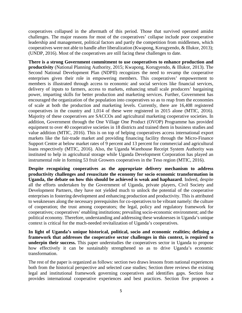cooperatives collapsed in the aftermath of this period. Those that survived operated amidst challenges. The major reasons for most of the cooperatives' collapse include poor cooperative leadership and management, political factors and partly the competition from middlemen, which cooperatives were not able to handle after liberalization (Kwapong, Korugyendo, & Illukor, 2013); (UNDP, 2016). Most of the cooperatives are still facing these challenges to date.

**There is a strong Government commitment to use cooperatives to enhance production and productivity** (National Planning Authority, 2015; Kwapong, Korugyendo, & Illukor, 2013). The Second National Development Plan (NDPII) recognizes the need to revamp the cooperative enterprises given their role in empowering members. This cooperatives' empowerment to members is illustrated through access to economic and social services like financial services, delivery of inputs to farmers, access to markets, enhancing small scale producers' bargaining power, imparting skills for better production and marketing services. Further, Government has encouraged the organization of the population into cooperatives so as to reap from the economies of scale at both the production and marketing levels. Currently, there are 16,408 registered cooperatives in the country and 1,014 of these were registered in 2015 alone (MTIC, 2016). Majority of these cooperatives are SACCOs and agricultural marketing cooperative societies. In addition, Government through the One Village One Product (OVOP) Programme has provided equipment to over 40 cooperative societies in 18 districts and trained them in business studies and value addition (MTIC, 2016). This is on top of helping cooperatives access international export markets like the fair-trade market and providing financing facility through the Micro-Finance Support Centre at below market rates of 9 percent and 13 percent for commercial and agricultural loans respectively (MTIC, 2016). Also, the Uganda Warehouse Receipt System Authority was instituted to help in agricultural storage while Uganda Development Corporation has played an instrumental role in forming 53 fruit Growers cooperatives in the Teso region (MTIC, 2016).

**Despite recognizing cooperatives as the appropriate delivery mechanism to address productivity challenges and resuscitate the economy for socio economic transformation in Uganda, the debate on how this should be achieved is weak and haphazard**. Indeed, despite all the efforts undertaken by the Government of Uganda, private players, Civil Society and Development Partners, they have not yielded much to unlock the potential of the cooperative enterprises in fostering development and enhancing production and productivity. This is attributed to weaknesses along the necessary prerequisites for co-operatives to be vibrant namely: the culture of cooperation; the trust among cooperators; the legal, policy and regulatory framework for cooperatives; cooperatives' enabling institutions; prevailing socio-economic environment; and the political economy. Therefore, understanding and addressing these weaknesses in Uganda's unique context is critical for the much-needed revitalization of Uganda's cooperatives.

**In light of Uganda's unique historical, political, socio and economic realities; defining a framework that addresses the cooperative sector challenges in this context, is required to underpin their success.** This paper understudies the cooperatives sector in Uganda to propose how effectively it can be sustainably strengthened so as to drive Uganda's economic transformation.

The rest of the paper is organized as follows: section two draws lessons from national experiences both from the historical perspective and selected case studies; Section three reviews the existing legal and institutional framework governing cooperatives and identifies gaps. Section four provides international cooperative experiences and best practices. Section five proposes a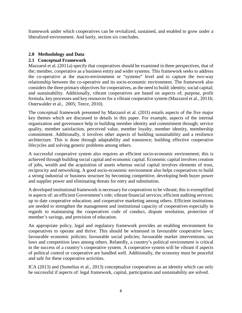framework under which cooperatives can be revitalized, sustained, and enabled to grow under a liberalized environment. And lastly, section six concludes.

## **2.0 Methodology and Data**

## <span id="page-5-0"></span>**2.1 Conceptual Framework**

Mazzarol et al. (2011a) specify that cooperatives should be examined in three perspectives, that of the; member, cooperative as a business entity and wider systems. This framework seeks to address the co-operative at the macro-environment or "systems" level and to capture the two-way relationship between the co-operative and its socio-economic environment. The framework also considers the three primary objectives for cooperatives, as the need to build: identity; social capital; and sustainability. Additionally, vibrant cooperatives are based on aspects of; purpose, profit formula, key processes and key resources for a vibrant cooperative system (Mazzarol et al., 2011b; Osterwalder et al., 2005; Teece, 2010).

The conceptual framework presented by Mazzarol et al. (201l) entails aspects of the five major key themes which are discussed in details in this paper. For example, aspects of the internal organization and governance help in building member identity and commitment through; service quality, member satisfaction, perceived value, member loyalty, member identity, membership commitment. Additionally, it involves other aspects of building sustainability and a resilience architecture. This is done through adaptability and transience; building effective cooperative lifecycles and solving generic problems among others.

A successful cooperative system also requires an efficient socio-economic environment; this is achieved through building social capital and economic capital. Economic capital involves creation of jobs, wealth and the acquisition of assets whereas social capital involves elements of trust, reciprocity and networking. A good socio-economic environment also helps cooperatives to build a strong industrial or business structure by becoming competitive, developing both buyer power and supplier power and eliminating threats for entry and substitution.

A developed institutional framework is necessary for cooperatives to be vibrant; this is exemplified in aspects of: an efficient Government's role; vibrant financial services; efficient auditing services; up to date cooperative education; and cooperative marketing among others. Efficient institutions are needed to strengthen the management and institutional capacity of cooperatives especially in regards to maintaining the cooperatives code of conduct, dispute resolution, protection of member's savings, and provision of education.

An appropriate policy, legal and regulatory framework provides an enabling environment for cooperatives to operate and thrive. This should be witnessed in favourable cooperative laws; favourable economic policies; favourable social policies; favourable market interventions; tax laws and competition laws among others. Relatedly, a country's political environment is critical in the success of a country's cooperative system. A cooperative system will be vibrant if aspects of political control or cooperative are handled well. Additionally, the economy must be peaceful and safe for these cooperative activities.

ICA (2013) and (Sumelius et al., 2013) conceptualize cooperatives as an identity which can only be successful if aspects of: legal framework, capital, participation and sustainability are solved.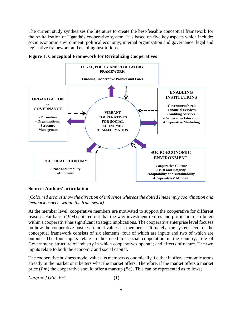The current study synthesizes the literature to create the best/feasible conceptual framework for the revitalization of Uganda's cooperative system. It is based on five key aspects which include: socio economic environment; political economy; internal organization and governance; legal and legislative framework and enabling institutions.





#### **Source: Authors' articulation**

*(Coloured arrows show the direction of influence whereas the dotted lines imply coordination and feedback aspects within the framework)* 

At the member level, cooperative members are motivated to support the cooperative for different reasons. Fairbairn (1994) pointed out that the way investment returns and profits are distributed within a cooperative has significant strategic implications. The cooperative enterprise level focuses on how the cooperative business model values its members. Ultimately, the system level of the conceptual framework consists of six elements; four of which are inputs and two of which are outputs. The four inputs relate to the: need for social cooperation in the country; role of Government; structure of industry in which cooperatives operate; and effects of nature. The two inputs relate to both the economic and social capital.

The cooperative business model values its members economically if either it offers economic terms already in the market or it betters what the market offers. Therefore, if the market offers a market price  $(Pm)$  the cooperative should offer a markup  $(Pc)$ . This can be represented as follows;

$$
Coop = f(Pm, Pc)
$$
 (1)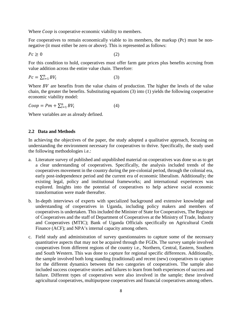Where *Coop* is cooperative economic viability to members.

For cooperatives to remain economically viable to its members, the markup (Pc) must be nonnegative (it must either be zero or above). This is represented as follows:

$$
Pc \ge 0 \tag{2}
$$

For this condition to hold, cooperatives must offer farm gate prices plus benefits accruing from value addition across the entire value chain. Therefore:

$$
Pc = \sum_{i=1}^{n} BV_i
$$
 (3)

Where  $BV$  are benefits from the value chains of production. The higher the levels of the value chain, the greater the benefits. Substituting equations (3) into (1) yields the following cooperative economic viability model:

$$
Coop = Pm + \sum_{i=1}^{n} BV_i
$$
\n<sup>(4)</sup>

Where variables are as already defined.

#### **2.2 Data and Methods**

In achieving the objectives of the paper, the study adopted a qualitative approach, focusing on understanding the environment necessary for cooperatives to thrive. Specifically, the study used the following methodologies i.e.:

- a. Literature survey of published and unpublished material on cooperatives was done so as to get a clear understanding of cooperatives. Specifically, the analysis included trends of the cooperatives movement in the country during the pre-colonial period, through the colonial era, early post-independence period and the current era of economic liberalism. Additionally; the existing legal, policy and institutional frameworks; and international experiences was explored. Insights into the potential of cooperatives to help achieve social economic transformation were made thereafter.
- b. In-depth interviews of experts with specialized background and extensive knowledge and understanding of cooperatives in Uganda, including policy makers and members of cooperatives is undertaken. This included the Minister of State for Cooperatives, The Registrar of Cooperatives and the staff of Department of Cooperatives at the Ministry of Trade, Industry and Cooperatives (MTIC); Bank of Uganda Officials specifically on Agricultural Credit Finance (ACF); and NPA's internal capacity among others.
- c. Field study and administration of survey questionnaires to capture some of the necessary quantitative aspects that may not be acquired through the FGDs. The survey sample involved cooperatives from different regions of the country i.e., Northern, Central, Eastern, Southern and South Western. This was done to capture for regional specific differences. Additionally, the sample involved both long standing (traditional) and recent (new) cooperatives to capture for the different dynamics between the two categories of cooperatives. The sample also included success cooperative stories and failures to learn from both experiences of success and failure. Different types of cooperatives were also involved in the sample; these involved agricultural cooperatives, multipurpose cooperatives and financial cooperatives among others.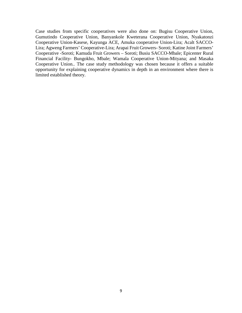Case studies from specific cooperatives were also done on: Bugisu Cooperative Union, Gumutindo Cooperative Union, Banyankole Kweterana Cooperative Union, Nyakatonzi Cooperative Union-Kasese, Kayunga ACE, Amuka cooperative Union-Lira; Acalt SACCO-Lira; Agweng Farmers' Cooperative-Lira; Arapai Fruit Growers- Soroti; Katine Joint Farmers' Cooperative -Soroti; Kamuda Fruit Growers – Soroti; Busiu SACCO-Mbale; Epicenter Rural Financial Facility- Bungokho, Mbale; Wamala Cooperative Union-Mityana; and Masaka Cooperative Union.. The case study methodology was chosen because it offers a suitable opportunity for explaining cooperative dynamics in depth in an environment where there is limited established theory.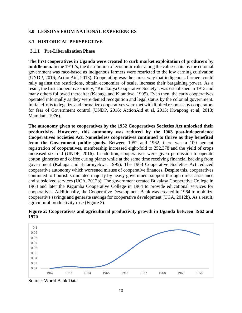#### <span id="page-9-0"></span>**3.0 LESSONS FROM NATIONAL EXPERIENCES**

## <span id="page-9-1"></span>**3.1 HISTORICAL PERSPECTIVE**

#### <span id="page-9-2"></span>**3.1.1 Pre-Liberalization Phase**

**The first cooperatives in Uganda were created to curb market exploitation of producers by middlemen.** In the 1910's, the distribution of economic roles along the value-chain by the colonial government was race-based as indigenous farmers were restricted to the low earning cultivation (UNDP, 2016; ActionAid, 2013). Cooperating was the surest way that indigenous farmers could rally against the restrictions, obtain economies of scale, increase their bargaining power. As a result, the first cooperative society, "Kinakulya Cooperative Society", was established in 1913 and many others followed thereafter (Kabuga and Kitandwe, 1995). Even then, the early cooperatives operated informally as they were denied recognition and legal status by the colonial government. Initial efforts to legalize and formalize cooperatives were met with limited response by cooperators for fear of Government control (UNDP, 2016; ActionAid et al, 2013; Kwapong et al, 2013; Mamdani, 1976).

**The autonomy given to cooperatives by the 1952 Cooperatives Societies Act unlocked their productivity. However, this autonomy was reduced by the 1963 post-independence Cooperatives Societies Act. Nonetheless cooperatives continued to thrive as they benefited from the Government public goods.** Between 1952 and 1962, there was a 100 percent registration of cooperatives, membership increased eight-fold to 252,378 and the yield of crops increased six-fold (UNDP, 2016). In addition, cooperatives were given permission to operate cotton ginneries and coffee curing plants while at the same time receiving financial backing from government (Kabuga and Batarinyebwa, 1995). The 1963 Cooperative Societies Act reduced cooperative autonomy which worsened misuse of cooperative finances. Despite this, cooperatives continued to flourish stimulated majorly by heavy government support through direct assistance and subsidized services (UCA, 2012b). The government created Bukalasa Cooperative College in 1963 and later the Kigumba Cooperative College in 1964 to provide educational services for cooperatives. Additionally, the Cooperative Development Bank was created in 1964 to mobilize cooperative savings and generate savings for cooperative development (UCA, 2012b). As a result, agricultural productivity rose (Figure 2).



**Figure 2: Cooperatives and agricultural productivity growth in Uganda between 1962 and 1970** 

Source: World Bank Data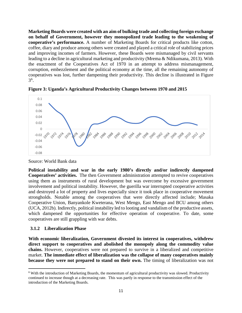**Marketing Boards were created with an aim of bulking trade and collecting foreign exchange on behalf of Government, however they monopolized trade leading to the weakening of cooperative's performance.** A number of Marketing Boards for critical products like cotton, coffee, diary and produce among others were created and played a critical role of stabilizing prices and improving incomes of farmers. However, these Boards were mismanaged by civil servants leading to a decline in agricultural marketing and productivity (Mrema & Ndikumana, 2013). With the enactment of the Cooperatives Act of 1970 in an attempt to address mismanagement, corruption, embezzlement and the political economy at the time, all the remaining autonomy of cooperatives was lost, further dampening their productivity. This decline is illustrated in Figure 3[6](#page-10-1) .



**Figure 3: Uganda's Agricultural Productivity Changes between 1970 and 2015**

Source: World Bank data

**Political instability and war in the early 1980's directly and/or indirectly dampened Cooperatives' activities.** The then Government administration attempted to revive cooperatives using them as instruments of rural development but was overcome by excessive government involvement and political instability. However, the guerilla war interrupted cooperative activities and destroyed a lot of property and lives especially since it took place in cooperative movement strongholds. Notable among the cooperatives that were directly affected include; Masaka Cooperative Union, Banyankole Kweterana, West Mengo, East Mengo and BCU among others (UCA, 2012b). Indirectly, political instability led to looting and vandalism of the productive assets, which dampened the opportunities for effective operation of cooperative. To date, some cooperatives are still grappling with war debts.

#### <span id="page-10-0"></span>**3.1.2 Liberalization Phase**

**With economic liberalization, Government divested its interest in cooperatives, withdrew direct support to cooperatives and abolished the monopoly along the commodity value chains.** However, cooperatives were not prepared to survive in a liberalized and competitive market. **The immediate effect of liberalization was the collapse of many cooperatives mainly because they were not prepared to stand on their own.** The timing of liberalization was not

<span id="page-10-1"></span><sup>&</sup>lt;sup>6</sup> With the introduction of Marketing Boards, the momentum of agricultural productivity was slowed. Productivity continued to increase though at a decreasing rate. This was partly in response to the transmission effect of the introduction of the Marketing Boards.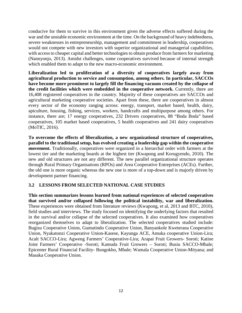conducive for them to survive in this environment given the adverse effects suffered during the war and the unstable economic environment at the time. On the background of heavy indebtedness, severe weaknesses in entrepreneurship, management and commitment in leadership, cooperatives would not compete with new investors with superior organizational and managerial capabilities, with access to cheaper capital and better technologies to obtain produce from farmers for marketing (Nannyonjo, 2013). Amidst challenges, some cooperatives survived because of internal strength which enabled them to adapt to the new macro-economic environment.

**Liberalization led to proliferation of a diversity of cooperatives largely away from agricultural production to service and consumption, among others. In particular, SACCOs have become more prominent to largely fill the financing vacuum created by the collapse of the credit facilities which were embedded in the cooperative network.** Currently, there are 16,408 registered cooperatives in the country. Majority of these cooperatives are SACCOs and agricultural marketing cooperative societies. Apart from these, there are cooperatives in almost every sector of the economy ranging across: energy, transport, market based, health, dairy, apiculture, housing, fishing, services, workers, handcrafts and multipurpose among others. For instance, there are; 17 energy cooperatives, 232 Drivers cooperatives, 88 "Boda Boda" based cooperatives, 105 market based cooperatives, 5 health cooperatives and 241 dairy cooperatives (MoTIC, 2016).

**To overcome the effects of liberalization, a new organizational structure of cooperatives, parallel to the traditional setup, has evolved creating a leadership gap within the cooperative movement.** Traditionally, cooperatives were organized in a hierarchal order with farmers at the lowest tier and the marketing boards at the highest tier (Kwapong and Korugyendo, 2010). The new and old structures are not any different. The new parallel organizational structure operates through Rural Primary Organisations (RPOs) and Area Cooperative Entreprises (ACEs). Further, the old one is more organic whereas the new one is more of a top-down and is majorly driven by development partner financing.

## <span id="page-11-0"></span>**3.2 LESSONS FROM SELECTED NATIONAL CASE STUDIES**

**This section summarizes lessons learned from national experiences of selected cooperatives that survived and/or collapsed following the political instability, war and liberalization.** These experiences were obtained from literature reviews (Kwapong, et al, 2013 and BTC, 2010), field studies and interviews. The study focused on identifying the underlying factors that resulted in the survival and/or collapse of the selected cooperatives. It also examined how cooperatives reorganized themselves to adapt to liberalization. The selected cooperatives studied include: Bugisu Cooperative Union, Gumutindo Cooperative Union, Banyankole Kweterana Cooperative Union, Nyakatonzi Cooperative Union-Kasese, Kayunga ACE, Amuka cooperative Union-Lira; Acalt SACCO-Lira; Agweng Farmers' Cooperative-Lira; Arapai Fruit Growers- Soroti; Katine Joint Farmers' Cooperative -Soroti; Kamuda Fruit Growers – Soroti; Busiu SACCO-Mbale; Epicenter Rural Financial Facility- Bungokho, Mbale; Wamala Cooperative Union-Mityana; and Masaka Cooperative Union.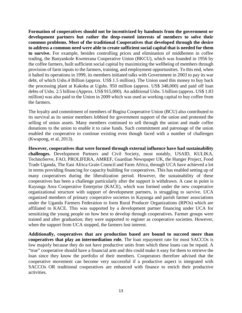**Formation of cooperatives should not be incentivized by handouts from the government or development partners but rather the deep-rooted interests of members to solve their common problems. Most of the traditional Cooperatives that developed through the desire to address a common need were able to create sufficient social capital that is needed for them to survive.** For example, besides controlling prices and elimination of middlemen in coffee trading, the Banyankole Kweterana Cooperative Union (BKCU), which was founded in 1956 by the coffee farmers, built sufficient social capital by maximizing the wellbeing of members through provision of farm inputs to the farmers, training, and employment opportunities. To this end, when it halted its operations in 1999, its members initiated talks with Government in 2003 to pay its war debt, of which Ushs.4 Billion (approx. US\$ 1.5 million). The Union used this money to buy back the processing plant at Kakoba at Ugshs. 950 million (approx. US\$ 348,000) and paid off loan debts of Ushs. 2.5 billion (Approx. US\$ 915,000). An additional Ushs. 5 billion (approx. US\$ 1.83 million) was also paid to the Union in 2009 which was used as working capital to buy coffee from the farmers.

The loyalty and commitment of members of Bugisu Cooperative Union (BCU) also contributed to its survival as its senior members lobbied for government support of the union and protested the selling of union assets. Many members continued to sell through the union and made coffee donations to the union to enable it to raise funds. Such commitment and patronage of the union enabled the cooperative to continue existing even though faced with a number of challenges (Kwapong, et al, 2013).

**However, cooperatives that were formed through external influence have had sustainability challenges.** Development Partners and Civil Society, most notably, USAID, KULIKA, TechnoServe, FAO, PROLIFERA, AMREF, Guardian Newspaper UK, the Hunger Project, Food Trade Uganda, The East Africa Grain Council and Farm Africa, through UCA have achieved a lot in terms providing financing for capacity building for cooperatives. This has enabled setting up of many cooperatives during the liberalization period. However, the sustainability of these cooperatives has been a challenge particularly after the support is withdrawn. A case in point is Kayunga Area Cooperative Enterprise (KACE), which was formed under the new cooperative organizational structure with support of development partners, is struggling to survive. UCA organized members of primary cooperative societies in Kayunga and parish farmer associations under the Uganda Farmers Federation to form Rural Producer Organizations (RPOs) which are affiliated to KACE. This was supported by a development partner financing under UCA for sensitizing the young people on how best to develop through cooperatives. Farmer groups were trained and after graduation; they were supported to register as cooperative societies. However, when the support from UCA stopped, the farmers lost interest.

**Additionally, cooperatives that are production based are bound to succeed more than cooperatives that play an intermediation role.** The loan repayment rate for most SACCOs is low majorly because they do not have productive units from which these loans can be repaid. A "true" cooperative should have a financial arm and this could make it easy for them to retrieve the loan since they know the portfolio of their members. Cooperators therefore advised that the cooperative movement can become very successful if a productive aspect is integrated with SACCOs OR traditional cooperatives are enhanced with finance to enrich their productive activities.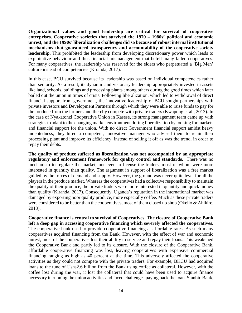**Organizational values and good leadership are critical for survival of cooperative enterprises. Cooperative societies that survived the 1970 – 1980s' political and economic unrest, and the 1990s' liberalization challenges did so because of robust internal institutional mechanisms that guaranteed transparency and accountability of the cooperative society leadership.** This prohibited the leadership from developing discretionary power which leads to exploitative behaviour and thus financial mismanagement that befell many failed cooperatives. For many cooperatives, the leadership was reserved for the elders who perpetuated a 'Big Men' culture instead of competencies (Kiranda, 2017).

In this case, BCU survived because its leadership was based on individual competencies rather than seniority. As a result, its dynamic and visionary leadership appropriately invested in assets like land, schools, buildings and processing plants among others during the good times which later bailed out the union in times of crisis. Following liberalization, which led to withdrawal of direct financial support from government, the innovative leadership of BCU sought partnerships with private investors and Development Partners through which they were able to raise funds to pay for the produce from the farmers and thereby compete with private traders (Kwapong et al., 2013). In the case of Nyakatonzi Cooperative Union in Kasese, its strong management team came up with strategies to adapt to the changing market environment during liberalization by looking for markets and financial support for the union. With no direct Government financial support amidst heavy indebtedness; they hired a competent, innovative manager who advised them to retain their processing plant and improve its efficiency, instead of selling it off as was the trend, in order to repay their debts.

**The quality of produce suffered as liberalization was not accompanied by an appropriate regulatory and enforcement framework for quality control and standards.** There was no mechanism to regulate the market, not even to license the traders, most of whom were more interested in quantity than quality. The argument in support of liberalization was a free market guided by the forces of demand and supply. However, the ground was never quite level for all the players in the produce market. Whereas the cooperatives had a collective responsibility to maintain the quality of their produce, the private traders were more interested in quantity and quick money than quality (Kiranda, 2017). Consequently, Uganda's reputation in the international market was damaged by exporting poor quality produce, more especially coffee. Much as these private traders were considered to be better than the cooperatives, most of them closed up shop (Okello & Ahikire, 2013).

**Cooperative finance is central to survival of Cooperatives. The closure of Cooperative Bank left a deep gap in accessing cooperative financing which severely affected the cooperatives.** The cooperative bank used to provide cooperative financing at affordable rates. As such many cooperatives acquired financing from the Bank. However, with the effect of war and economic unrest, most of the cooperatives lost their ability to service and repay their loans. This weakened the Cooperative Bank and partly led to its closure. With the closure of the Cooperative Bank, affordable cooperative financing was lost, leaving cooperatives with expensive commercial financing ranging as high as 40 percent at the time. This adversely affected the cooperative activities as they could not compete with the private traders. For example, BKCU had acquired loans to the tune of Ushs2.6 billion from the Bank using coffee as collateral. However, with the coffee lost during the war, it lost the collateral that could have been used to acquire finance necessary in running the union activities and faced challenges paying back the loan. Stanbic Bank,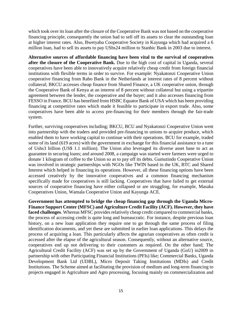which took over its loan after the closure of the Cooperative Bank was not based on the cooperative financing principle, consequently the union had to sell off its assets to clear the outstanding loan at higher interest rates. Also, Bwetyaba Cooperative Society in Kayunga which had acquired a 6 million loan, had to sell its assets to pay UShs24 million to Stanbic Bank in 2003 due to interest.

**Alternative sources of affordable financing have been vital to the survival of cooperatives after the closure of the Cooperative Bank.** Due to the high cost of capital in Uganda, several cooperatives have been able to innovatively acquire relatively cheap credit from foreign financial institutions with flexible terms in order to survive. For example: Nyakatonzi Cooperative Union cooperative financing from Rabo Bank in the Netherlands at interest rates of 8 percent without collateral; BKCU accesses cheap finance from Shared Finance, a UK cooperative union, through the Cooperative Bank of Kenya at an interest of 8 percent without collateral but using a tripartite agreement between the lender, the cooperative and the buyer; and it also accesses financing from FESSO in France. BCU has benefited from HSBC Equator Bank of USA which has been providing financing at competitive rates which made it feasible to participate in export trade. Also, some cooperatives have been able to access pre-financing for their members through the fair-trade system.

Further, surviving cooperatives including; BKCU, BCU and Nyakatonzi Cooperative Union went into partnership with the traders and provided pre-financing to unions to acquire produce, which enabled them to have working capital to continue with their operations. BCU for example, traded some of its land (619 acres) with the government in exchange for this financial assistance to a tune of Ushs3 billion (US\$ 1.1 million). The Union also leveraged its diverse asset base to act as guarantee in securing loans; and around 2008, a campaign was started were farmers were urged to donate 1 kilogram of coffee to the Union so as to pay off its debts. Gumutindo Cooperative Union was involved in strategic partnerships with NGOs like TWIN based in the UK, BTC and Shared Interest which helped in financing its operations. However, all these financing options have been accessed creatively by the innovative cooperatives and a common financing mechanism specifically made for cooperatives is still lacking. Cooperatives that have failed to get external sources of cooperative financing have either collapsed or are struggling, for example, Masaka Cooperatives Union, Wamala Cooperative Union and Kayunga ACE.

**Government has attempted to bridge the cheap financing gap through the Uganda Micro-Finance Support Center (MFSC) and Agriculture Credit Facility (ACF). However, they have**  faced challenges. Whereas MFSC provides relatively cheap credit compared to commercial banks, the process of accessing credit is quite long and bureaucratic. For instance, despite previous loan history, on a new loan application they require one to go through the same process of filing identification documents, and yet these are submitted in earlier loan applications. This delays the process of acquiring a loan. This particularly affects the agrarian cooperatives as often credit is accessed after the elapse of the agricultural season. Consequently, without an alternative source, cooperatives end up not delivering to their customers as required. On the other hand; The Agricultural Credit Facility (ACF) was set up by the Government of Uganda (GoU) in2009 in partnership with other Participating Financial Institutions (PFIs) like; Commercial Banks, Uganda Development Bank Ltd (UDBL), Micro Deposit Taking Institutions (MDIs) and Credit Institutions. The Scheme aimed at facilitating the provision of medium and long-term financing to projects engaged in Agriculture and Agro processing, focusing mainly on commercialization and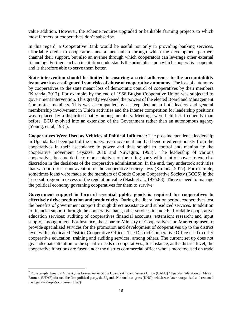value addition. However, the scheme requires upgraded or bankable farming projects to which most farmers or cooperatives don't subscribe.

In this regard, a Cooperative Bank would be useful not only in providing banking services, affordable credit to cooperators, and a mechanism through which the development partners channel their support, but also an avenue through which cooperators can leverage other external financing. Further, such an institution understands the principles upon which cooperatives operate and is therefore able to serve them better.

**State intervention should be limited to ensuring a strict adherence to the accountability framework as a safeguard from risks of abuse of cooperative autonomy.** The loss of autonomy by cooperatives to the state meant loss of democratic control of cooperatives by their members (Kiranda, 2017). For example, by the end of 1966 Bugisu Cooperative Union was subjected to government intervention. This greatly weakened the powers of the elected Board and Management Committee members. This was accompanied by a steep decline in both leaders and general membership involvement in Union activities and the intense competition for leadership positions was replaced by a dispirited apathy among members. Meetings were held less frequently than before. BCU evolved into an extension of the Government rather than an autonomous agency (Young, et. al, 1981).

**Cooperatives Were Used as Vehicles of Political Influence:** The post-independence leadership in Uganda had been part of the cooperative movement and had benefitted enormously from the cooperatives in their ascendance to power and thus sought to control and manipulate the cooperative movement (Kyazze, 2010 and Nuwagira, 1993)<sup>[7](#page-15-0)</sup>. The leadership of various cooperatives became de facto representatives of the ruling party with a lot of power to exercise discretion in the decisions of the cooperative administration. In the end, they undertook activities that were in direct contravention of the cooperative society laws (Kiranda, 2017). For example, sometimes loans were made to the members of Gondo Cotton Cooperative Society (GCCS) in the Teso sub-region in excess of the regulation value (Nash et al., 1976:88). There is need to manage the political economy governing cooperatives for them to survive.

**Government support in form of essential public goods is required for cooperatives to effectively drive production and productivity.** During the liberalization period, cooperatives lost the benefits of government support through direct assistance and subsidized services. In addition to financial support through the cooperative bank, other services included: affordable cooperative education services; auditing of cooperatives financial accounts; extension; research; and input supply, among others. For instance, the separate Ministry of Cooperatives and Marketing used to provide specialized services for the promotion and development of cooperatives up to the district level with a dedicated District Cooperative Officer. The District Cooperative Office used to offer cooperative education, training and auditing services, among others. The current set up does not give adequate attention to the specific needs of cooperatives., for instance, at the district level, the cooperative functions are fused under the district commercial officer who is more focused on trade

<span id="page-15-0"></span><sup>&</sup>lt;sup>7</sup> For example, Ignatius Musazi, the former leader of the Uganda African Farmers Union (UAFU) / Uganda Federation of African Farmers (UFAF), formed the first political party, the Uganda National congress (UNC), which was later reorganised and renamed the Uganda People's congress (UPC).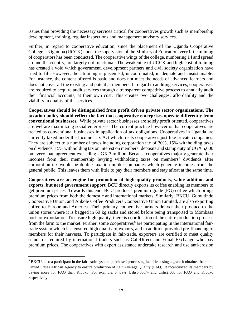issues than providing the necessary services critical for cooperatives growth such as membership development, training, regular inspections and management advisory services.

Further, in regard to cooperative education, since the placement of the Uganda Cooperative College – Kigumba (UCCK) under the supervision of the Ministry of Education, very little training of cooperators has been conducted. The cooperative wings of the college, numbering 14 and spread around the country, are largely not functional. The weakening of UCCK and high cost of training has created a void which government, development partners and civil society organization have tried to fill. However, their training is piecemeal, uncoordinated, inadequate and unsustainable. For instance, the content offered is basic and does not meet the needs of advanced learners and does not cover all the existing and potential members. In regard to auditing services, cooperatives are required to acquire audit services through a transparent competitive process to annually audit their financial accounts, at their own cost. This creates two challenges: affordability and the viability in quality of the services.

**Cooperatives should be distinguished from profit driven private sector organizations. The taxation policy should reflect the fact that cooperative enterprises operate differently from conventional businesses.** While private sector businesses are solely profit oriented, cooperatives are welfare maximizing social enterprises. The current practice however is that cooperatives are treated as conventional businesses in application of tax obligations. Cooperatives in Uganda are currently taxed under the Income Tax Act which treats cooperatives just like private companies. They are subject to a number of taxes including corporation tax of 30%, 15% withholding taxes on dividends, 15% withholding tax on interest on members' deposits and stamp duty of UGX 5,000 on every loan agreement exceeding UGX 3 million. Because cooperatives majorly generate their incomes from their membership levying withholding taxes on members' dividends after corporation tax would be double taxation unlike companies which generate incomes from the general public. This leaves them with little to pay their members and stay afloat at the same time.

**Cooperatives are an engine for promotion of high quality products, value addition and exports, but need government support.** BCU directly exports its coffee enabling its members to get premium prices. Towards this end, BCU produces premium grade (PG) coffee which brings premium prices from both the domestic and international markets. Similarly; BKCU, Gumutindo Cooperative Union, and Ankole Coffee Producers Cooperative Union Limited, are also exporting coffee to Europe and America. Their primary cooperative farmers deliver their produce to the union stores where it is bagged in 60 kg sacks and stored before being transported to Mombasa port for exportation. To ensure high quality, there is coordination of the entire production process from the farm to the market. Further, some cooperatives<sup>[8](#page-16-0)</sup> are participating in the international fairtrade system which has ensured high quality of exports, and in addition provided pre-financing to members for their harvests. To participate in fair-trade, exporters are certified to meet quality standards required by international traders such as CafeDirect and Equal Exchange who pay premium prices. The cooperatives with expert assistance undertake research and use anti-erosion

<span id="page-16-0"></span><sup>&</sup>lt;sup>8</sup> BKCU, also a participant in the fair-trade system, purchased processing facilities using a grant it obtained from the United States African Agency to ensure production of Fair Average Quality (FAQ). It incentivized its members by paying more for FAQ than Kiboko. For example, it pays Ushs6,000/= and Ushs2,500 for FAQ and Kiboko respectively.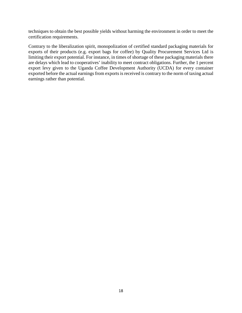techniques to obtain the best possible yields without harming the environment in order to meet the certification requirements.

Contrary to the liberalization spirit, monopolization of certified standard packaging materials for exports of their products (e.g. export bags for coffee) by Quality Procurement Services Ltd is limiting their export potential. For instance, in times of shortage of these packaging materials there are delays which lead to cooperatives' inability to meet contract obligations. Further, the 1 percent export levy given to the Uganda Coffee Development Authority (UCDA) for every container exported before the actual earnings from exports is received is contrary to the norm of taxing actual earnings rather than potential.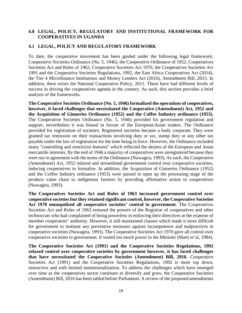## <span id="page-18-0"></span>**4.0 LEGAL, POLICY, REGULATORY AND INSTITUTIONAL FRAMEWORK FOR COOPERATIVES IN UGANDA**

## <span id="page-18-1"></span>**4.1 LEGAL, POLICY AND REGULATORY FRAMEWORK**

To date, the cooperative movement has been guided under the following legal framework: Cooperative Societies Ordinance (No. 5, 1946), the Cooperative Ordinance of 1952, Cooperatives Societies Act and Rules of 1963, Cooperative Societies Act 1970, the Cooperatives Societies Act 1991 and the Cooperative Societies Regulations, 1992, the East Africa Cooperatives Act (2014), the Tier 4 Microfinance Institutions and Money Lenders Act (2016), Amendment Bill, 2015. In addition, there exists the National Cooperative Policy, 2011. These have had different levels of success in driving the cooperatives agenda in the country. As such, this section provides a brief analysis of the frameworks.

**The Cooperative Societies Ordinance (No. 5, 1946) formalized the operations of cooperatives, however, it faced challenges that necessitated the Cooperative (Amendment) Act, 1952 and the Acquisition of Ginneries Ordinance (1952) and the Coffee Industry ordinance (1953).**  The Cooperative Societies Ordinance (No. 5, 1946) provided for government regulation and support, nevertheless it was biased in favour of the European/Asian traders. The Ordinance provided for registration of societies. Registered societies became a body corporate. They were granted tax remission on their transactions involving duty or tax, stamp duty or any other tax payable under the law of registration for the time being in force. However, the Ordinance included many "controlling and restrictive features" which reflected the desires of the European and Asian mercantile interests. By the end of 1946 a majority of cooperatives were unregistered because they were not in agreement with the terms of the Ordinance (Nuwagira, 1993). As such, the Cooperative (Amendment) Act, 1952 relaxed and streamlined government control over cooperative societies, inducing cooperatives to formalise. In addition, the Acquisition of Ginneries Ordinance (1952) and the Coffee Industry ordinance (1953) were passed to open up the processing stage of the produce value chain to indigenous farmers by providing affirmative action to cooperatives (Nuwagira, 1993).

**The Cooperatives Societies Act and Rules of 1963 increased government control over cooperative societies but they retained significant control, however, the Cooperative Societies Act 1970 monopolised all cooperative societies' control to government**. The Cooperatives Societies Act and Rules of 1963 restored the powers of the Registrar of cooperatives and other technocrats who had complained of being powerless in enforcing their directives at the expense of member cooperators' authority. However, it still maintained clauses which made it more difficult for government to institute any preventive measures against incompetence and malpractices in cooperative societies (Nuwagira, 1993). The Cooperative Societies Act 1970 gave all control over cooperative societies to government. It vested too much power to the Minister (Marti et'al, 1984).

**The Cooperative Societies Act (1991) and the Cooperative Societies Regulations, 1992 relaxed control over cooperative societies by government however, it has faced challenges that have necessitated the Cooperative Societies (Amendment) Bill, 2016**. Cooperative Societies Act (1991) and the Cooperative Societies Regulations, 1992 is more top down, instructive and with limited institutionalization. To address the challenges which have emerged over time as the cooperatives sector continues to diversify and grow, the Cooperative Societies (Amendment) Bill, 2016 has been tabled before Parliament. A review of the proposed amendments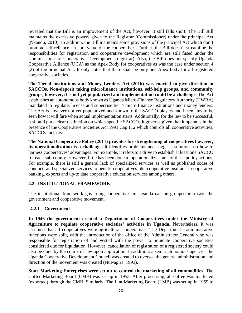revealed that the Bill is an improvement of the Act; however, it still falls short. The Bill still maintains the excessive powers given to the Registrar (Commissioner) under the principal Act (Nkandu, 2010). In addition, the Bill maintains some provisions of the principal Act which don't promote self-reliance - a core value of the cooperatives. Further, the Bill doesn't streamline the responsibilities for registration and cooperative development which are still fused under the Commissioner of Cooperative Development (registrar). Also, the Bill does not specify Uganda Cooperative Alliance (UCA) as the Apex Body for cooperatives as was the case under section 4 (2) of the principal Act. It only notes that there shall be only one Apex body for all registered cooperative societies.

**The Tier 4 institutions and Money Lenders Act (2016) was enacted to give direction to SACCOs, Non-deposit taking microfinance institutions, self-help groups, and community groups, however, it is not yet popularized and implementation could be a challenge**. The Act establishes an autonomous body known as Uganda Micro-Finance Regulatory Authority (UWRA) mandated to regulate, license and supervise tier 4 micro finance institutions and money lenders. The Act is however not yet popularized and known to the SACCO players and it remains to be seen how it will fare when actual implementation starts. Additionally, for the law to be successful, it should put a clear distinction on which specific SACCOs it governs given that it operates in the presence of the Cooperative Societies Act 1991 Cap 112 which controls all cooperative activities, SACCOs inclusive.

**The National Cooperative Policy (2011) provides for strengthening of cooperatives however, its operationalization is a challenge.** It identifies problems and suggests solutions on how to harness cooperatives' advantages. For example, it refers to a drive to establish at least one SACCO for each sub-county. However, little has been done to operationalize some of these policy actions. For example, there is still a general lack of specialized services as well as published codes of conduct; and specialized services to benefit cooperatives like cooperative insurance, cooperative banking, exports and up-to date cooperative education services among others.

## <span id="page-19-0"></span>**4.2 INSTITUTIONAL FRAMEWORK**

The institutional framework governing cooperatives in Uganda can be grouped into two: the government and cooperative movement.

## <span id="page-19-1"></span>**4.2.1 Government**

**In 1946 the government created a Department of Cooperatives under the Ministry of Agriculture to regulate cooperative societies' activities in Uganda.** Nevertheless, it was assumed that all cooperatives were agricultural cooperatives. The Department's administrative functions were split, with the introduction of the office of the Administrator General who was responsible for registration of and vested with the power to liquidate cooperative societies considered due for liquidation. However, cancellation of registration of a registered society could also be done by the courts of law upon application. In addition, a semi-autonomous agency - the Uganda Cooperative Development Council was created to oversee the general administration and direction of the movement was created (Nuwagira, 1993).

**State Marketing Enterprises were set up to control the marketing of all commodities.** The Coffee Marketing Board (CMB) was set up in 1953. After processing, all coffee was marketed (exported) through the CMB. Similarly, The Lint Marketing Board (LMB) was set up in 1959 to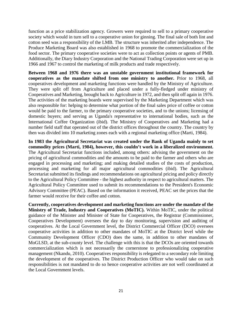function as a price stabilization agency. Growers were required to sell to a primary cooperative society which would in turn sell to a cooperative union for ginning. The final sale of both lint and cotton seed was a responsibility of the LMB. The structure was inherited after independence. The Produce Marketing Board was also established in 1968 to promote the commercialization of the food sector. The primary cooperative societies were to act as collection points or agents of PMB. Additionally, the Diary Industry Corporation and the National Trading Corporation were set up in 1966 and 1967 to control the marketing of milk products and trade respectively.

**Between 1968 and 1976 there was an unstable government institutional framework for cooperatives as the mandate shifted from one ministry to another.** Prior to 1968, all cooperatives development and marketing functions were handled by the Ministry of Agriculture. They were split off from Agriculture and placed under a fully-fledged under ministry of Cooperatives and Marketing, brought back to Agriculture in 1972, and then split off again in 1976. The activities of the marketing boards were supervised by the Marketing Department which was also responsible for: helping to determine what portion of the final sales price of coffee or cotton would be paid to the farmer, to the primary cooperative societies, and to the unions; licensing of domestic buyers; and serving as Uganda's representative to international bodies, such as the International Coffee Organization (ibid). The Ministry of Cooperatives and Marketing had a number field staff that operated out of the district offices throughout the country. The country by then was divided into 10 marketing zones each with a regional marketing office (Marti, 1984).

**In 1983 the Agricultural Secretariat was created under the Bank of Uganda mainly to set commodity prices (Marti, 1984), however, this couldn't work in a liberalized environment.** The Agricultural Secretariat functions included, among others: advising the government on the pricing of agricultural commodities and the amounts to be paid to the farmer and others who are engaged in processing and marketing; and making detailed studies of the costs of production, processing and marketing for all major agricultural commodities (ibid). The Agricultural Secretariat submitted its findings and recommendations on agricultural pricing and policy directly to the Agricultural Policy Committee - the highest authority in respect to agricultural matters. The Agricultural Policy Committee used to submit its recommendations to the President's Economic Advisory Committee (PEAC). Based on the information it received, PEAC set the prices that the farmer would receive for their coffee and cotton.

**Currently, cooperatives development and marketing functions are under the mandate of the Ministry of Trade, Industry and Cooperatives (MoTIC).** Within MoTIC, under the political guidance of the Minister and Minister of State for Cooperatives, the Registrar (Commissioner, Cooperatives Development) oversees the day to day monitoring, supervision and auditing of cooperatives. At the Local Government level, the District Commercial Officer (DCO) oversees cooperative activities in addition to other mandates of MoTIC at the District level while the Community Development Officer (CDO) does the same, in addition to other mandates of MoGLSD, at the sub-county level. The challenge with this is that the DCOs are oriented towards commercialization which is not necessarily the cornerstone to professionalizing cooperative management (Nkandu, 2010). Cooperatives responsibility is relegated to a secondary role limiting the development of the cooperatives. The District Production Officer who would take on such responsibilities is not mandated to do so hence cooperative activities are not well coordinated at the Local Government levels.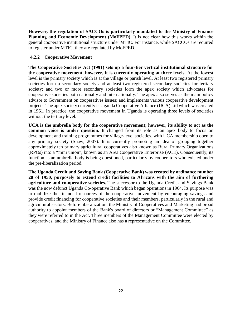**However, the regulation of SACCOs is particularly mandated to the Ministry of Finance Planning and Economic Development (MoFPED).** It is not clear how this works within the general cooperative institutional structure under MTIC. For instance, while SACCOs are required to register under MTIC, they are regulated by MoFPED.

## <span id="page-21-0"></span>**4.2.2 Cooperative Movement**

**The Cooperative Societies Act (1991) sets up a four-tier vertical institutional structure for the cooperative movement, however, it is currently operating at three levels.** At the lowest level is the primary society which is at the village or parish level. At least two registered primary societies form a secondary society and at least two registered secondary societies for tertiary society; and two or more secondary societies form the apex society which advocates for cooperative societies both nationally and internationally. The apex also serves as the main policy advisor to Government on cooperatives issues; and implements various cooperative development projects. The apex society currently is Uganda Cooperative Alliance (UCA) Ltd which was created in 1961. In practice, the cooperative movement in Uganda is operating three levels of societies without the tertiary level.

**UCA is the umbrella body for the cooperative movement; however, its ability to act as the common voice is under question.** It changed from its role as an apex body to focus on development and training programmes for village-level societies, with UCA membership open to any primary society (Shaw, 2007). It is currently promoting an idea of grouping together approximately ten primary agricultural cooperatives also known as Rural Primary Organizations (RPOs) into a "mini union", known as an Area Cooperative Enterprise (ACE). Consequently, its function as an umbrella body is being questioned, particularly by cooperators who existed under the pre-liberalization period.

**The Uganda Credit and Saving Bank (Cooperative Bank) was created by ordinance number 20 of 1950, purposely to extend credit facilities to Africans with the aim of furthering agriculture and co-operative societies.** The successor to the Uganda Credit and Savings Bank was the now defunct Uganda Co-operative Bank which began operations in 1964. Its purpose was to mobilize the financial resources of the cooperative movement by encouraging savings and provide credit financing for cooperative societies and their members, particularly in the rural and agricultural sectors. Before liberalization, the Ministry of Cooperatives and Marketing had broad authority to appoint members of the Bank's board of directors or "Management Committee" as they were referred to in the Act. Three members of the Management Committee were elected by cooperatives, and the Ministry of Finance also has a representative on the Committee.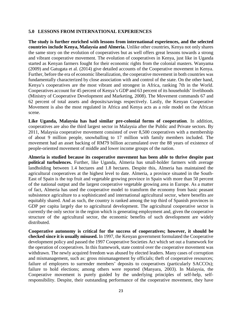#### <span id="page-22-0"></span>**5.0 LESSONS FROM INTERNATIONAL EXPERIENCES**

**The study is further enriched with lessons from international experiences, and the selected countries include Kenya, Malaysia and Almeria.** Unlike other countries, Kenya not only shares the same story on the evolution of cooperatives but as well offers great lessons towards a strong and vibrant cooperative movement. The evolution of cooperatives in Kenya, just like in Uganda started as Kenyan farmers fought for their economic rights from the colonial masters. Wanyama (2009) and Gatugata et al. (2014) give detailed accounts of the Cooperative movement in Kenya. Further, before the era of economic liberalization, the cooperative movement in both countries was fundamentally characterized by close association with and control of the state. On the other hand, Kenya's cooperatives are the most vibrant and strongest in Africa, ranking 7th in the World. Cooperatives account for 45 percent of Kenya's GDP and 63 percent of its households' livelihoods (Ministry of Cooperative Development and Marketing, 2008). The Movement commands 67 and 62 percent of total assets and deposits/savings respectively. Lastly, the Kenyan Cooperative Movement is also the most regulated in Africa and Kenya acts as a role model on the African scene.

**Like Uganda, Malaysia has had similar pre-colonial forms of cooperation**. In addition, cooperatives are also the third largest sector in Malaysia after the Public and Private sectors. By 2011, Malaysia cooperative movement consisted of over 8,500 cooperatives with a membership of about 9 million people, snowballing to 17 million with family members included. The movement had an asset backing of RM79 billion accumulated over the 88 years of existence of people-oriented movement of middle and lower income groups of the nation.

**Almeria is studied because its cooperative movement has been able to thrive despite past political turbulences.** Further, like Uganda, Almeria has small-holder farmers with average landholding between 1.4 hectares and 1.8 hectares. Despite this, Almeria has maintained the agricultural cooperatives at the highest level to date. Almeria, a province situated in the South-East of Spain is the top fruit and vegetable growing province in Spain with more than 50 percent of the national output and the largest cooperative vegetable growing area in Europe. As a matter of fact, Almeria has used the cooperative model to transform the economy from basic peasant subsistence agriculture to a sophisticated and international agricultural sector, where benefits are equitably shared. And as such, the country is ranked among the top third of Spanish provinces in GDP per capita largely due to agricultural development. The agricultural cooperative sector is currently the only sector in the region which is generating employment and, given the cooperative structure of the agricultural sector, the economic benefits of such development are widely distributed.

**Cooperative autonomy is critical for the success of cooperatives; however, it should be checked since it is usually misused.** In 1997, the Kenyan government formulated the Cooperative development policy and passed the 1997 Cooperative Societies Act which set out a framework for the operation of cooperatives. In this framework, state control over the cooperative movement was withdrawn. The newly acquired freedom was abused by elected leaders. Many cases of corruption and mismanagement, such as: gross mismanagement by officials; theft of cooperative resources; failure of employers to surrender members' deposits to cooperatives (particularly SACCOs); failure to hold elections; among others were reported (Manyara, 2003). In Malaysia, the Cooperative movement is purely guided by the underlying principles of self-help, selfresponsibility. Despite, their outstanding performance of the cooperative movement, they have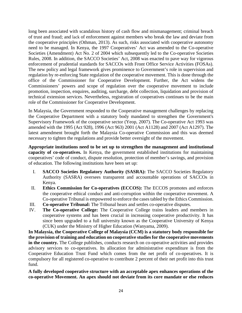long been associated with scandalous history of cash flow and mismanagement; criminal breach of trust and fraud; and lack of enforcement against members who break the law and deviate from the cooperative principles (Othman, 2013). As such, risks associated with cooperative autonomy need to be managed. In Kenya, the 1997 Cooperatives' Act was amended to the Co-operative Societies (Amendment) Act No. 2 of 2004 which subsequently led to the Co-operative Societies Rules, 2008. In addition, the SACCO Societies' Act, 2008 was enacted to pave way for vigorous enforcement of prudential standards for SACCOs with Front Office Service Activities (FOSAs). The new policy and legal framework gives prominence to Government's role in supervision and regulation by re-enforcing State regulation of the cooperative movement. This is done through the office of the Commissioner for Cooperative Development. Further, the Act widens the Commissioners' powers and scope of regulation over the cooperative movement to include promotion, inspection, enquires, auditing, surcharge, debt collection, liquidation and provision of technical extension services. Nevertheless, registration of cooperatives continues to be the main role of the Commissioner for Cooperative Development.

In Malaysia, the Government responded to the Cooperative management challenges by replacing the Cooperative Department with a statutory body mandated to strengthen the Government's Supervisory Framework of the cooperative sector (Yeop, 2007). The Co-operative Act 1993 was amended with the 1995 (Act 928), 1996 (Act 963) 2001 (Act A1128) and 2007 (Act A1297). The latest amendment brought forth the Malaysia Co-operative Commission and this was deemed necessary to tighten the regulations and provide better oversight of the movement.

**Appropriate institutions need to be set up to strengthen the management and institutional capacity of co-operatives.** In Kenya, the government established institutions for maintaining cooperatives' code of conduct, dispute resolution, protection of member's savings, and provision of education. The following institutions have been set up:

- I. **SACCO Societies Regulatory Authority (SASRA):** The SACCO Societies Regulatory Authority (SASRA) oversees transparent and accountable operations of SACCOs in Kenya.
- II. **Ethics Commission for Co-operatives (ECCOS):** The ECCOS promotes and enforces the cooperative ethical conduct and anti-corruption within the cooperative movement. A Co-operative Tribunal is empowered to enforce the cases tabled by the Ethics Commission.
- III. **Co-operative Tribunal:** The Tribunal hears and settles co-operative disputes.
- IV. **The Co-operative College:** The Cooperative College trains leaders and members in cooperative systems and has been crucial in increasing cooperative productivity. It has since been upgraded to a full university known as the Cooperative University of Kenya (CUK) under the Ministry of Higher Education (Wanyama, 2009).

**In Malaysia, the Cooperative College of Malaysia (CCM) is a statutory body responsible for the provision of training and education on cooperative studies for the cooperative movements in the country.** The College publishes, conducts research on co-operative activities and provides advisory services to co-operatives. Its allocation for administrative expenditure is from the Cooperative Education Trust Fund which comes from the net profit of co-operatives. It is compulsory for all registered co-operative to contribute 2 percent of their net profit into this trust fund.

**A fully developed cooperative structure with an acceptable apex enhances operations of the co-operative Movement. An apex should not deviate from its core mandate or else reduces**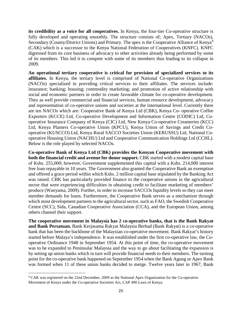**its credibility as a voice for all cooperatives.** In Kenya, the four-tier Co-operative structure is fully developed and operating smoothly. The structure consists of; Apex, Tertiary (NACOs), Secondary (County/District Unions) and Primary. The apex is the Cooperative Alliance of Kenya<sup>[9](#page-24-0)</sup> (CAK) which is a successor to the Kenya National Federation of Cooperatives (KNFC). KNFC digressed from its core business of advocacy to other activities already being performed by some of its members. This led it to compete with some of its members thus leading to its collapse in 2009.

**An operational tertiary cooperative is critical for provision of specialized services to its affiliates.** In Kenya, the tertiary level is comprised of National Co-operative Organizations (NACOs) specialized in providing critical services to their affiliates. The services include: insurance; banking; housing; commodity marketing; and promotion of active relationship with social and economic partners in order to create favorable climate for co-operative development. They as well provide commercial and financial services, human resource development, advocacy and representation of co-operative unions and societies at the international level. Currently there are ten NACOs which are: Cooperative Bank of Kenya Ltd (CBK), Kenya Co- operative Coffee Exporters (KCCE) Ltd, Co-operative Development and Information Centre (CODIC) Ltd, Cooperative Insurance Company of Kenya (CIC) Ltd, New Kenya Co-operative Creameries (KCC) Ltd, Kenya Planters Co-operative Union (KPCU), Kenya Union of Savings and Credit Cooperative (KUSCCO) Ltd, Kenya Rural SACCO Societies Union (KERUSSU) Ltd, National Cooperative Housing Union (NACHU) Ltd and Cooperative Communication Holdings Ltd (CCHL). Below is the role played by selected NACOs.

**Co-operative Bank of Kenya Ltd (CBK) provides the Kenyan Cooperative movement with both the financial credit and avenue for donor support.** CBK started with a modest capital base of Kshs. 255,000; however, Government supplemented this capital with a Kshs. 214,000 interest free loan repayable in 10 years. The Government also granted the Cooperative Bank an exemption and offered a grace period within which Kshs. 2 million capital base stipulated by the Banking Act was raised. CBK has particularly provided finance to the cooperative unions in the agricultural sector that were experiencing difficulties in obtaining credit to facilitate marketing of members' produce (Wanyama, 2009). Further, in order to increase SACCOs liquidity levels so they can meet member demands for loans. Furthermore, the Cooperative Bank serves as a mechanism through which most development partners to the agricultural sector, such as FAO, the Swedish Cooperative Centre (SCC), Sida, Canadian Cooperative Association (CCA), and the European Union, among others channel their support.

**The cooperative movement in Malaysia has 2 co-operative banks, that is the Bank Rakyat and Bank Persatuan.** Bank Kerjasama Rakyat Malaysia Berhad (Bank Rakyat) is a co-operative bank that has been the backbone of the Malaysian co-operative movement. Bank Rakyat's history started before Malaya's independence. It was established under the first co-operative law, the Cooperative Ordinance 1948 in September 1954. At this point of time, the co-operative movement was to be expanded to Peninsular Malaysia and the way to go about facilitating the expansion is by setting up union banks which in turn will provide financial needs to their members. The turning point for the co-operative bank happened on September 1954 when the Bank Agung or Apex Bank was formed when 11 of these union banks decided to merge. Twelve years later in 1967, Bank

<span id="page-24-0"></span> <sup>9</sup> CAK was registered on the 22nd December, 2009 as the National Apex Organization for the Co-operative Movement of Kenya under the Co-operative Societies Act, CAP 490 Laws of Kenya.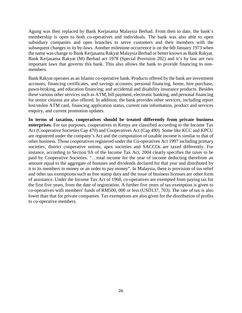Agung was then replaced by Bank Kerjasama Malaysia Berhad. From then to date, the bank's membership is open to both co-operatives and individuals. The bank was also able to open subsidiary companies and open branches to serve customers and their members with the subsequent changes in its by-laws. Another milestone occurrence is on the 6th January 1973 when the name was change to Bank Kerjasama Rakyat Malaysia Berhad or better known as Bank Rakyat. Bank Kerjasama Rakyat (M) Berhad act 1978 (Special Provision 202) and it's by law are two important laws that governs this bank. This also allows the bank to provide financing to nonmembers.

Bank Rakyat operates as an Islamic co-operative bank. Products offered by the bank are investment accounts, financing certificates, and savings accounts, personal financing, home, hire purchase, pawn-broking, and education financing; and accidental and disability insurance products. Besides these various other services such as ATM, bill payment, electronic banking, and personal financing for senior citizens are also offered. In addition, the bank provides other services, including report lost/stolen ATM card, financing application status, current rate information, product and services enquiry, and current promotion updates.

**In terms of taxation, cooperatives should be treated differently from private business enterprises.** For tax purposes, cooperatives in Kenya are classified according to the Income Tax Act (Cooperative Societies Cap 470) and Cooperatives Act (Cap 490). Some like KCC and KPCU are registered under the company's Act and the computation of taxable income is similar to that of other business. Those cooperatives registered under the Co-operatives Act 1997 including primary societies, district cooperative unions, apex societies and SACCOs are taxed differently. For instance, according to Section 9A of the Income Tax Act, 2004 clearly specifies the taxes to be paid by Cooperative Societies. "…total income for the year of income deducting therefrom an amount equal to the aggregate of bonuses and dividends declared for that year and distributed by it to its members in money or an order to pay money". In Malaysia, there is provision of tax relief and other tax exemptions such as free stamp duty and the issue of business licenses are other form of assistance. Under the Income Tax Act of 1968, co-operatives are exempted from paying tax for the first five years, from the date of registration. A further five years of tax exemption is given to co-operatives with members' funds of RM500, 000 or less (USD137, 703). The rate of tax is also lower than that for private companies. Tax exemptions are also given for the distribution of profits to co-operative members.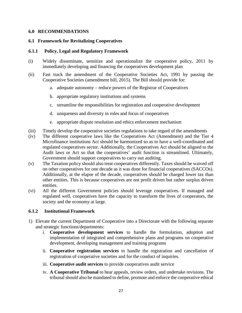#### <span id="page-26-0"></span>**6.0 RECOMMENDATIONS**

#### <span id="page-26-1"></span>**6.1 Framework for Revitalizing Cooperatives**

#### <span id="page-26-2"></span>**6.1.1 Policy, Legal and Regulatory Framework**

- (i) Widely disseminate, sensitize and operationalize the cooperative policy, 2011 by immediately developing and financing the cooperatives development plan
- (ii) Fast track the amendment of the Cooperative Societies Act, 1991 by passing the Cooperative Societies (amendment bill, 2015). The Bill should provide for:
	- a. adequate autonomy reduce powers of the Registrar of Cooperatives
	- b. appropriate regulatory institutions and systems
	- c. streamline the responsibilities for registration and cooperative development
	- d. uniqueness and diversity in roles and focus of cooperatives
	- e. appropriate dispute resolution and ethics enforcement mechanism
- (iii) Timely develop the cooperative societies regulations to take regard of the amendments
- (iv) The different cooperative laws like the Cooperatives Act (Amendment) and the Tier 4 Microfinance institutions Act should be harmonized so as to have a well-coordinated and regulated cooperatives sector. Additionally, the Cooperatives Act should be aligned to the Audit laws or Act so that the cooperatives' audit function is streamlined. Ultimately, Government should support cooperatives to carry out auditing.
- (v) The Taxation policy should also treat cooperatives differently. Taxes should be waived off on other cooperatives for one decade as it was done for financial cooperatives (SACCOs). Additionally, at the elapse of the decade, cooperatives should be charged lower tax than other entities. This is because cooperatives are not profit driven but rather surplus driven entities.
- (vi) All the different Government policies should leverage cooperatives. If managed and regulated well, cooperatives have the capacity to transform the lives of cooperators, the society and the economy at large.

#### <span id="page-26-3"></span>**6.1.2 Institutional Framework**

- 1) Elevate the current Department of Cooperative into a Directorate with the following separate and strategic functions/departments:
	- i. **Cooperative development services** to handle the formulation, adoption and implementation of integrated and comprehensive plans and programs on cooperative development, developing management and training programs
	- ii. **Cooperative registration services** to handle the registration and cancellation of registration of cooperative societies and for the conduct of inquiries.
	- iii. **Cooperative audit services** to provide cooperatives audit service
	- iv. **A Cooperative Tribunal** to hear appeals, review orders, and undertake revisions. The tribunal should also be mandated to define, promote and enforce the cooperative ethical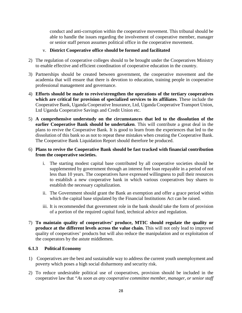conduct and anti-corruption within the cooperative movement. This tribunal should be able to handle the issues regarding the involvement of cooperative member, manager or senior staff person assumes political office in the cooperative movement.

## v. **District Cooperative office should be formed and facilitated**

- 2) The regulation of cooperative colleges should to be brought under the Cooperatives Ministry to enable effective and efficient coordination of cooperative education in the country.
- 3) Partnerships should be created between government, the cooperative movement and the academia that will ensure that there is devotion to education, training people in cooperative professional management and governance.
- 4) **Efforts should be made to revive/strengthen the operations of the tertiary cooperatives which are critical for provision of specialized services to its affiliates**. These include the Cooperative Bank, Uganda Cooperative Insurance, Ltd, Uganda Cooperative Transport Union, Ltd Uganda Cooperative Savings and Credit Union etc.
- 5) **A comprehensive understudy on the circumstances that led to the dissolution of the earlier Cooperative Bank should be undertaken**. This will contribute a great deal in the plans to revive the Cooperative Bank. It is good to learn from the experiences that led to the dissolution of this bank so as not to repeat these mistakes when creating the Cooperative Bank. The Cooperative Bank Liquidation Report should therefore be produced.

## 6) **Plans to revive the Cooperative Bank should be fast tracked with financial contribution from the cooperative societies.**

- i. The starting modest capital base contributed by all cooperative societies should be supplemented by government through an interest free loan repayable in a period of not less than 10 years. The cooperatives have expressed willingness to pull their resources to establish a new cooperative bank in which various cooperatives buy shares to establish the necessary capitalization.
- ii. The Government should grant the Bank an exemption and offer a grace period within which the capital base stipulated by the Financial Institutions Act can be raised.
- iii. It is recommended that government role in the bank should take the form of provision of a portion of the required capital fund, technical advice and regulation.
- 7) **To maintain quality of cooperatives' produce, MTIC should regulate the quality or produce at the different levels across the value chain.** This will not only lead to improved quality of cooperatives' products but will also reduce the manipulation and or exploitation of the cooperators by the astute middlemen.

## <span id="page-27-0"></span>**6.1.3 Political Economy**

- 1) Cooperatives are the best and sustainable way to address the current youth unemployment and poverty which poses a high social disharmony and security risk.
- 2) To reduce undesirable political use of cooperatives, provision should be included in the cooperative law that *"As soon as any cooperative committee member, manager, or senior staff*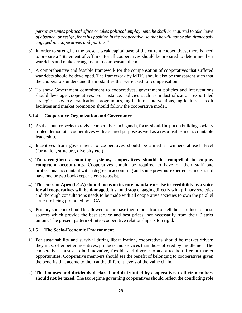*person assumes political office or takes political employment, he shall be required to take leave of absence, or resign, from his position in the cooperative, so that he will not be simultaneously engaged in cooperatives and politics."*

- 3) In order to strengthen the present weak capital base of the current cooperatives, there is need to prepare a "Statement of Affairs" for all cooperatives should be prepared to determine their war debts and make arrangement to compensate them.
- 4) A comprehensive and feasible framework for the compensation of cooperatives that suffered war debts should be developed. The framework by MTIC should also be transparent such that the cooperators understand the modalities that were used for compensation.
- 5) To show Government commitment to cooperatives, government policies and interventions should leverage cooperatives. For instance, policies such as industrialization, export led strategies, poverty eradication programmes, agriculture interventions, agricultural credit facilities and market promotion should follow the cooperative model.

#### <span id="page-28-0"></span>**6.1.4 Cooperative Organization and Governance**

- 1) As the country seeks to revive cooperatives in Uganda, focus should be put on building socially rooted democratic cooperatives with a shared purpose as well as a responsible and accountable leadership.
- 2) Incentives from government to cooperatives should be aimed at winners at each level (formation, structure, diversity etc.)
- 3) **To strengthen accounting systems, cooperatives should be compelled to employ competent accountants.** Cooperatives should be required to have on their staff one professional accountant with a degree in accounting and some previous experience, and should have one or two bookkeeper clerks to assist.
- 4) **The current Apex (UCA) should focus on its core mandate or else its credibility as a voice for all cooperatives will be damaged.** It should stop engaging directly with primary societies and thorough consultations needs to be made with all cooperative societies to own the parallel structure being promoted by UCA.
- 5) Primary societies should be allowed to purchase their inputs from or sell their produce to those sources which provide the best service and best prices, not necessarily from their District unions. The present pattern of inter-cooperative relationships is too rigid.

#### <span id="page-28-1"></span>**6.1.5 The Socio-Economic Environment**

- 1) For sustainability and survival during liberalization, cooperatives should be market driven; they must offer better incentives, products and services than those offered by middlemen. The cooperatives must also be innovative, flexible and diverse to adapt to the different market opportunities. Cooperative members should see the benefit of belonging to cooperatives given the benefits that accrue to them at the different levels of the value chain.
- 2) **The bonuses and dividends declared and distributed by cooperatives to their members should not be taxed.** The tax regime governing cooperatives should reflect the conflicting role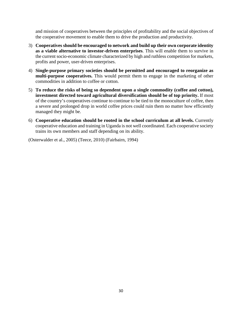and mission of cooperatives between the principles of profitability and the social objectives of the cooperative movement to enable them to drive the production and productivity.

- 3) **Cooperatives should be encouraged to network and build up their own corporate identity as a viable alternative to investor-driven enterprises**. This will enable them to survive in the current socio-economic climate characterized by high and ruthless competition for markets, profits and power, user-driven enterprises.
- 4) **Single-purpose primary societies should be permitted and encouraged to reorganize as multi-purpose cooperatives.** This would permit them to engage in the marketing of other commodities in addition to coffee or cotton.
- 5) **To reduce the risks of being so dependent upon a single commodity (coffee and cotton), investment directed toward agricultural diversification should be of top priority.** If most of the country's cooperatives continue to continue to be tied to the monoculture of coffee, then a severe and prolonged drop in world coffee prices could ruin them no matter how efficiently managed they might be.
- 6) **Cooperative education should be rooted in the school curriculum at all levels.** Currently cooperative education and training in Uganda is not well coordinated. Each cooperative society trains its own members and staff depending on its ability.

(Osterwalder et al., 2005) (Teece, 2010) (Fairbairn, 1994)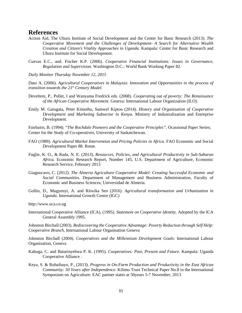#### <span id="page-30-0"></span>**References**

- Action Aid, The Uhuru Institute of Social Development and the Center for Basic Research (2013). *The Cooperative Movement and the Challenges of Development- A Search for Alternative Wealth Creation and Citizen's Vitality Approaches in Uganda.* Kampala: Center for Basic Research and Uhuru Institute for Social Development.
- Cuevas E.C., and. Fischer K.P. (2006). *Cooperative Financial Institutions: Issues in Governance, Regulation and Supervision.* Washington D.C.: World Bank Working Paper 82.

*Daily Monitor Thursday November 12, 2015*

Dato A. (2006). *Agricultural Cooperatives in Malaysia: Innovation and Opportunities in the process of transition towards the 21st Century Model.*

- Develtere, P., Pollet, I and Wanyama Fredrick eds. (2008). *Cooperating out of poverty: The Renaissance of the African Cooperative Movement.* Geneva: International Labour Organization (ILO).
- Emily M. Gatugata, Peter Kimotho, Samwel Kiptoo (2014). *History and Organisation of Cooperative Development and Marketing Subsector in Kenya.* Ministry of Industralization and Entreprise Development.

Fairbairn, B. (1994). "*The Rochdale Pioneers and the Cooperative Principles".* Ocassional Paper Series; Center for the Study of Co-operatives, University of Saskatchewan.

- FAO (1989). *Agricultural Market Intervention and Pricing Policies in Africa*. FAO Economic and Social Development Paper 88. Rome.
- Fuglie, K. O., & Rada, N. E. (2013). *Resources, Policies, and Agricultural Productivity in Sub-Saharan Africa.* Economic Research Report, Number 145, U.S. Department of Agriculture, Economic Research Service, February 2013
- Giagnocavo, C. (2012). *The Almeria Agriculture Cooperative Model: Creating Successful Economic and Social Communities.* Department of Management and Business Administration, Faculty of Economic and Business Sciences; Universidad de Almeria.
- Gollin, D., Mugyenyi, A. and Ritwika Sen (2016). *Agricultural transformation and Urbanization in Uganda.* International Growth Centre (IGC)

http://www.uca.co.ug

International Cooperative Alliance (ICA), (1995). *Statement on Cooperative Identity.* Adopted by the ICA General Assembly 1995.

Johnston Birchall (2003). *Rediscovering the Cooperative Advantage: Poverty Reduction through Self Help: Cooperative Branch*, International Labour Organisation Geneva

Johnston Birchall (2004). *Cooperatives and the Millennium Development Goals*: International Labour Organisation, Geneva

- Kabuga, C. and Batarinyebwa P. K. (1995). *Cooperatives: Past, Present and Future.* Kampala: Uganda Cooperative Alliance .
- Keya, S. & Rubaihayo, P., (2013). *Progress in On-Farm Production and Productivity in the East African Community: 50 Years after Independence.* Kilimo Trust Technical Paper No.8 in the International Symposium on Agriculture: EAC partner states at 50years 5-7 November, 2013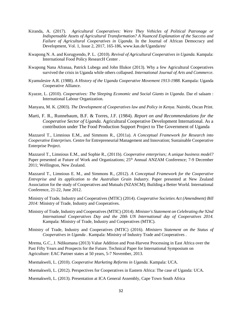- Kiranda, A. (2017). *Agricultural Cooperatives: Were They Vehicles of Political Patronage or Indispensable Assets of Agricultural Transformation? A Nuanced Explanation of the Success and Failure of Agricultural Cooperatives in Uganda.* In the Journal of African Democracy and Development, Vol. 1, Issue 2, 2017, 165-186, [www.kas.de/Uganda/en/](http://www.kas.de/Uganda/en/)
- Kwapong N. A. and Korugyendo, P. L. (2010). *Revival of Agricultural Cooperatives in Uganda.* Kampala: International Food Policy ResearcH Center .
- Kwapong Nana Afranaa, Patrick Lubega and John Illukor (2013). Why a few Agricultural Cooperatives survived the crisis in Uganda while others collapsed. *International Journal of Arts and Commerce*.
- Kyamulesire A.R. (1988). *A History of the Uganda Cooperative Movement 1913-1988.* Kampala: Uganda Cooperative Alliance.
- Kyazze, L. (2010). *Cooperatives: The Sleeping Economic and Social Giants in Uganda.* Dar el salaam : International Labour Organization.
- Manyara, M. K. (2003). *The Development of Cooperatives law and Policy in Kenya*. Nairobi, Oscan Print.
- Marti, F. R., Runnebaum, B.F. & Torres, J.F. (1984). *Report on and Recommendations for the Cooperative Sector of Uganda.* Agricultural Cooperative Development International. As a contribution under The Food Production Support Project to The Government of Uganda

Mazzarol T., Limnious E.M., and Simmons R., (2011a). *A Conceptual Framework for Research into Cooperative Enterprises*. Centre for Entrepreneurial Management and Innovation; Sustainable Cooperative Enterprise Project.

Mazzarol T., Limnious E.M., and Sophie R., (2011b). *Cooperative enterprises; A unique business model?* Paper presented at Future of Work and Organizations; 25<sup>th</sup> Annual ANZAM Conference; 7-9 December 2011; Wellington, New Zealand.

Mazzarol T., Limnious E. M., and Simmons R., (2012). *A Conceptual Framework for the Cooperative Entreprise and its application to the Australian Grain Industry.* Paper presented at New Zealand Association for the study of Cooperatives and Mutuals (NZASCM); Building a Better World. International Conference, 21-22, June 2012.

Ministry of Trade, Industry and Cooperatives (MTIC) (2014). *Cooperative Societies Act (Amendment) Bill 2014:* Ministry of Trade, Industry and Cooperatives.

- Ministry of Trade, Industry and Cooperatives (MTIC) (2014). *Minister's Statement on Celebrating the 92nd International Cooperatives Day and the 20th UN International day of Cooperatives 2014.* Kampala: Ministry of Trade, Industry and Cooperatives (MTIC).
- Ministry of Trade, Industry and Cooperatives (MTIC) (2016). *Ministers Statement on the Status of Cooperatives in Uganda .* Kampala: Ministry of Industry Trade and Cooperatives .

Mrema, G.C., J. Ndikumana (2013) Value Addition and Post-Harvest Processing in East Africa over the Past Fifty Years and Prospects for the Future. Technical Paper for International Symposium on Agriculture: EAC Partner states at 50 years, 5-7 November, 2013.

Msemakweli, L. (2010). *Cooperative Marketing Reforms in Uganda.* Kampala: UCA.

Msemakweli, L. (2012). Perspectives for Cooperatives in Eastern Africa: The case of Uganda: UCA.

Msemakweli, L. (2013). Presentation at ICA General Assembly, Cape Town South Africa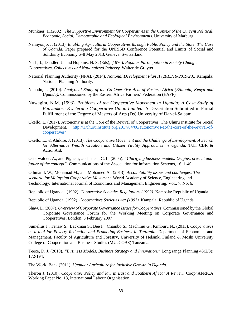- Münkner, H.(2002). *The Supportive Environment for Cooperatives in the Context of the Current Political, Economic, Social, Demographic and Ecological Environments.* University of Marburg
- Nannyonjo, J. (2013). *Enabling Agricultural Cooperatives through Public Policy and the State: The Case of Uganda*. Paper prepared for the UNRISD Conference Potential and Limits of Social and Solidarity Economy 6–8 May 2013, Geneva, Switzerland

Nash, J., Dandler, J., and Hopkins, N. S. (Eds), (1976). *Popular Participation in Society Change: Cooperatives, Collectives and Nationalized Industry.* Walter de Gruyter

- National Planning Authority (NPA), (2014). *National Development Plan II (2015/16-2019/20).* Kampala: National Planning Authority.
- Nkandu, J. (2010). *Analytical Study of the Co-Operative Acts of Eastern Africa (Ethiopia, Kenya and Uganda).* Commissioned by the Eastern Africa Farmers' Federation (EAFF)
- Nuwagira, N.M. (1993). *Problems of the Cooperative Movement in Uganda: A Case Study of Banyankore Kweterana Cooperative Union Limited*. A Dissertation Submitted in Partial Fulfillment of the Degree of Masters of Arts (Ds) University of Dar-el-Salaam.
- Okello, L. (2017). Autonomy is at the Core of the Revival of Cooperatives. The Uhuru Institute for Social Development. [http://1.uhuruinstitute.org/2017/04/06/autonomy-is-at-the-core-of-the-revival-of](http://1.uhuruinstitute.org/2017/04/06/autonomy-is-at-the-core-of-the-revival-of-cooperatives/)[cooperatives/](http://1.uhuruinstitute.org/2017/04/06/autonomy-is-at-the-core-of-the-revival-of-cooperatives/)
- Okello, L., & Ahikire, J. (2013). *The Cooperative Movement and the Challenge of Development: A Search for Alternative Wealth Creation and Citizen Vitality Approaches in Uganda.* TUI, CBR & ActionAid.

Osterwalder, A., and Pigneur, and Tucci, C. L. (2005). *"Clarifying business models: Origins, present and future of the concept".* Communications of the Association for Information Systems, 16, 1-40.

Othman I. W., Mohamad M., and Mohamed A., (2013). *Accountability issues and challenges: The scenario for Malaysian Cooperative Movement.* World Academy of Science, Engineering and Technology; International Journal of Economics and Management Engineering, Vol., 7, No. 6.

Republic of Uganda, (1992). *Cooperative Societies Regulations (1992).* Kampala: Republic of Uganda.

Republic of Uganda, (1992). *Cooperatives Societies Act (1991).* Kampala. Republic of Uganda

Shaw, L. (2007). *Overview of Corporate Governance Issues for Cooperatives.* Commissioned by the Global Corporate Governance Forum for the Working Meeting on Corporate Governance and Cooperatives, London, 8 February 2007

Sumelius J., Tenaw S., Backman S., Bee F., Chambo S., Machimu G., Kimburu N., (2013). *Cooperatives as a tool for Poverty Reduction and Promoting Business in Tanzania.* Department of Economics and Management, Faculty of Agriculture and Forestry, University of Helsinki Finland & Moshi University College of Cooperation and Business Studies (MUcCOBS) Tanzania.

Teece, D. J. (2010). *"Business Models, Business Strategy and Innovation."* Long range Planning 43(2/3): 172-194.

The World Bank (2011). *Uganda: Agriculture for Inclusive Growth in Uganda*.

Theron J. (2010). *Cooperative Policy and law in East and Southern Africa: A Review.* Coop^AFRICA Working Paper No. 18, International Labour Organisation.